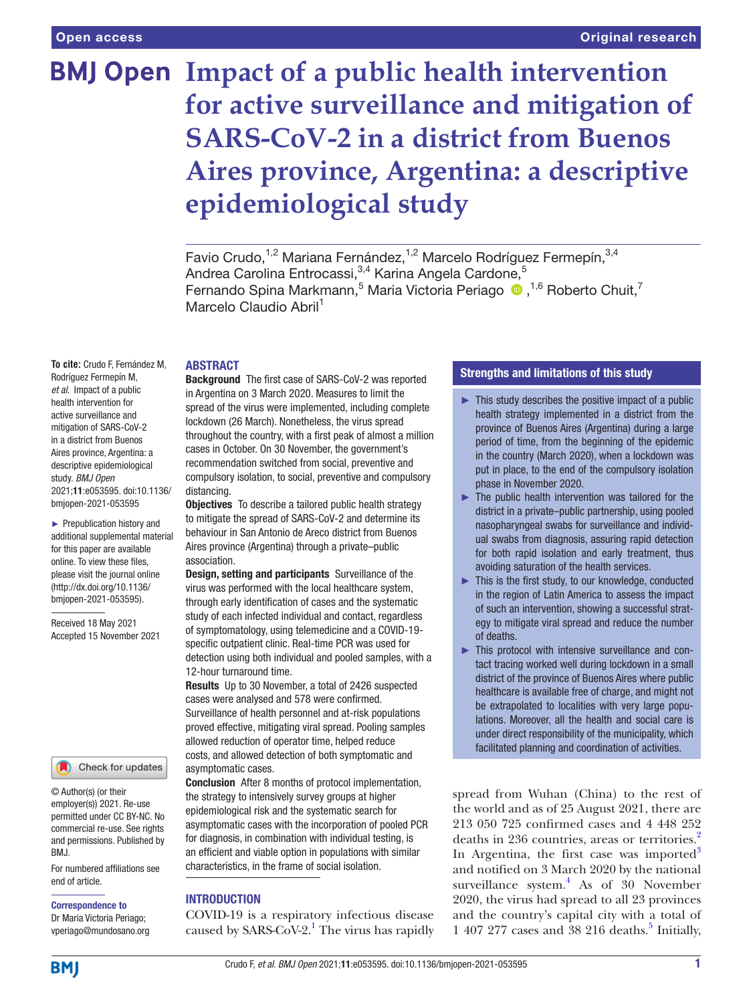# **BMJ Open Impact of a public health intervention for active surveillance and mitigation of SARS-CoV-2 in a district from Buenos Aires province, Argentina: a descriptive epidemiological study**

Favio Crudo,<sup>1,2</sup> Mariana Fernández,<sup>1,2</sup> Marcelo Rodríguez Fermepín,<sup>3,4</sup> Andrea Carolina Entrocassi,<sup>3,4</sup> Karina Angela Cardone,<sup>5</sup> Fernando Spina Markmann,<sup>5</sup> Maria Victoria Periago <sup>(D)</sup>,<sup>1,6</sup> Roberto Chuit,<sup>7</sup> Marcelo Claudio Abril<sup>1</sup>

#### ABSTRACT

**To cite:** Crudo F, Fernández M, Rodríguez Fermepín M, *et al*. Impact of a public health intervention for active surveillance and mitigation of SARS-CoV-2 in a district from Buenos Aires province, Argentina: a descriptive epidemiological study. *BMJ Open* 2021;11:e053595. doi:10.1136/ bmjopen-2021-053595

► Prepublication history and additional supplemental material for this paper are available online. To view these files, please visit the journal online (http://dx.doi.org/10.1136/ bmjopen-2021-053595).

Received 18 May 2021 Accepted 15 November 2021



© Author(s) (or their employer(s)) 2021. Re-use permitted under CC BY-NC. No commercial re-use. See rights and permissions. Published by BMJ.

For numbered affiliations see end of article.

#### Correspondence to

Dr Maria Victoria Periago; vperiago@mundosano.org

Background The first case of SARS-CoV-2 was reported in Argentina on 3 March 2020. Measures to limit the spread of the virus were implemented, including complete lockdown (26 March). Nonetheless, the virus spread throughout the country, with a first peak of almost a million cases in October. On 30 November, the government's recommendation switched from social, preventive and compulsory isolation, to social, preventive and compulsory distancing.

**Objectives** To describe a tailored public health strategy to mitigate the spread of SARS-CoV-2 and determine its behaviour in San Antonio de Areco district from Buenos Aires province (Argentina) through a private–public association.

Design, setting and participants Surveillance of the virus was performed with the local healthcare system, through early identification of cases and the systematic study of each infected individual and contact, regardless of symptomatology, using telemedicine and a COVID-19 specific outpatient clinic. Real-time PCR was used for detection using both individual and pooled samples, with a 12-hour turnaround time.

Results Up to 30 November, a total of 2426 suspected cases were analysed and 578 were confirmed. Surveillance of health personnel and at-risk populations proved effective, mitigating viral spread. Pooling samples allowed reduction of operator time, helped reduce costs, and allowed detection of both symptomatic and asymptomatic cases.

Conclusion After 8 months of protocol implementation, the strategy to intensively survey groups at higher epidemiological risk and the systematic search for asymptomatic cases with the incorporation of pooled PCR for diagnosis, in combination with individual testing, is an efficient and viable option in populations with similar characteristics, in the frame of social isolation.

## INTRODUCTION

COVID-19 is a respiratory infectious disease caused by SARS-CoV-2.<sup>1</sup> The virus has rapidly

## Strengths and limitations of this study

- $\blacktriangleright$  This study describes the positive impact of a public health strategy implemented in a district from the province of Buenos Aires (Argentina) during a large period of time, from the beginning of the epidemic in the country (March 2020), when a lockdown was put in place, to the end of the compulsory isolation phase in November 2020.
- $\blacktriangleright$  The public health intervention was tailored for the district in a private–public partnership, using pooled nasopharyngeal swabs for surveillance and individual swabs from diagnosis, assuring rapid detection for both rapid isolation and early treatment, thus avoiding saturation of the health services.
- ► This is the first study, to our knowledge, conducted in the region of Latin America to assess the impact of such an intervention, showing a successful strategy to mitigate viral spread and reduce the number of deaths.
- ► This protocol with intensive surveillance and contact tracing worked well during lockdown in a small district of the province of Buenos Aires where public healthcare is available free of charge, and might not be extrapolated to localities with very large populations. Moreover, all the health and social care is under direct responsibility of the municipality, which facilitated planning and coordination of activities.

spread from Wuhan (China) to the rest of the world and as of 25 August 2021, there are 213 050 725 confirmed cases and 4 448 252 deaths in 236 countries, areas or territories.<sup>2</sup> In Argentina, the first case was imported $3$ and notified on 3 March 2020 by the national surveillance system.<sup>4</sup> As of 30 November 2020, the virus had spread to all 23 provinces and the country's capital city with a total of  $1407277$  cases and  $38216$  deaths.<sup>5</sup> Initially,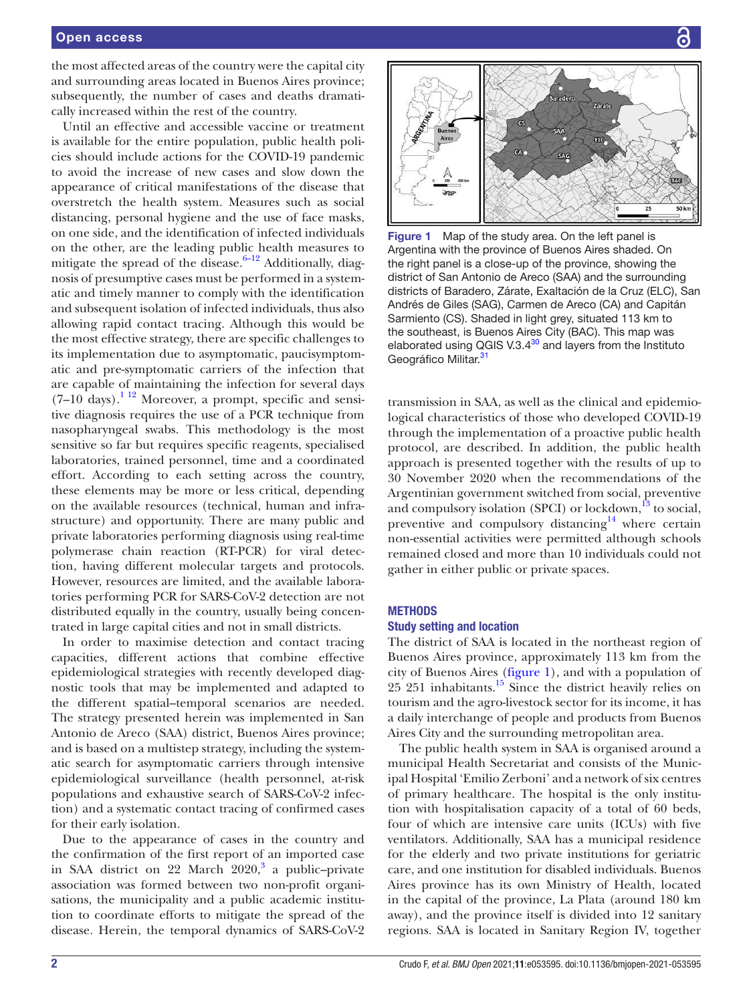the most affected areas of the country were the capital city and surrounding areas located in Buenos Aires province; subsequently, the number of cases and deaths dramatically increased within the rest of the country.

Until an effective and accessible vaccine or treatment is available for the entire population, public health policies should include actions for the COVID-19 pandemic to avoid the increase of new cases and slow down the appearance of critical manifestations of the disease that overstretch the health system. Measures such as social distancing, personal hygiene and the use of face masks, on one side, and the identification of infected individuals on the other, are the leading public health measures to mitigate the spread of the disease. $6-12$  Additionally, diagnosis of presumptive cases must be performed in a systematic and timely manner to comply with the identification and subsequent isolation of infected individuals, thus also allowing rapid contact tracing. Although this would be the most effective strategy, there are specific challenges to its implementation due to asymptomatic, paucisymptomatic and pre-symptomatic carriers of the infection that are capable of maintaining the infection for several days  $(7-10$  days).<sup>1 12</sup> Moreover, a prompt, specific and sensitive diagnosis requires the use of a PCR technique from nasopharyngeal swabs. This methodology is the most sensitive so far but requires specific reagents, specialised laboratories, trained personnel, time and a coordinated effort. According to each setting across the country, these elements may be more or less critical, depending on the available resources (technical, human and infrastructure) and opportunity. There are many public and private laboratories performing diagnosis using real-time polymerase chain reaction (RT-PCR) for viral detection, having different molecular targets and protocols. However, resources are limited, and the available laboratories performing PCR for SARS-CoV-2 detection are not distributed equally in the country, usually being concentrated in large capital cities and not in small districts.

In order to maximise detection and contact tracing capacities, different actions that combine effective epidemiological strategies with recently developed diagnostic tools that may be implemented and adapted to the different spatial–temporal scenarios are needed. The strategy presented herein was implemented in San Antonio de Areco (SAA) district, Buenos Aires province; and is based on a multistep strategy, including the systematic search for asymptomatic carriers through intensive epidemiological surveillance (health personnel, at-risk populations and exhaustive search of SARS-CoV-2 infection) and a systematic contact tracing of confirmed cases for their early isolation.

Due to the appearance of cases in the country and the confirmation of the first report of an imported case in SAA district on 22 March 2020,<sup>3</sup> a public-private association was formed between two non-profit organisations, the municipality and a public academic institution to coordinate efforts to mitigate the spread of the disease. Herein, the temporal dynamics of SARS-CoV-2



Figure 1 Map of the study area. On the left panel is Argentina with the province of Buenos Aires shaded. On the right panel is a close-up of the province, showing the district of San Antonio de Areco (SAA) and the surrounding districts of Baradero, Zárate, Exaltación de la Cruz (ELC), San Andrés de Giles (SAG), Carmen de Areco (CA) and Capitán Sarmiento (CS). Shaded in light grey, situated 113 km to the southeast, is Buenos Aires City (BAC). This map was elaborated using QGIS V.3. $4^{30}$  and layers from the Instituto Geográfico Militar.<sup>31</sup>

transmission in SAA, as well as the clinical and epidemiological characteristics of those who developed COVID-19 through the implementation of a proactive public health protocol, are described. In addition, the public health approach is presented together with the results of up to 30 November 2020 when the recommendations of the Argentinian government switched from social, preventive and compulsory isolation (SPCI) or lockdown, $^{13}$  to social, preventive and compulsory distancing $14$  where certain non-essential activities were permitted although schools remained closed and more than 10 individuals could not gather in either public or private spaces.

## **METHODS**

## Study setting and location

The district of SAA is located in the northeast region of Buenos Aires province, approximately 113 km from the city of Buenos Aires (figure 1), and with a population of  $25\,251$  inhabitants.<sup>15</sup> Since the district heavily relies on tourism and the agro-livestock sector for its income, it has a daily interchange of people and products from Buenos Aires City and the surrounding metropolitan area.

The public health system in SAA is organised around a municipal Health Secretariat and consists of the Municipal Hospital 'Emilio Zerboni' and a network of six centres of primary healthcare. The hospital is the only institution with hospitalisation capacity of a total of 60 beds, four of which are intensive care units (ICUs) with five ventilators. Additionally, SAA has a municipal residence for the elderly and two private institutions for geriatric care, and one institution for disabled individuals. Buenos Aires province has its own Ministry of Health, located in the capital of the province, La Plata (around 180 km away), and the province itself is divided into 12 sanitary regions. SAA is located in Sanitary Region IV, together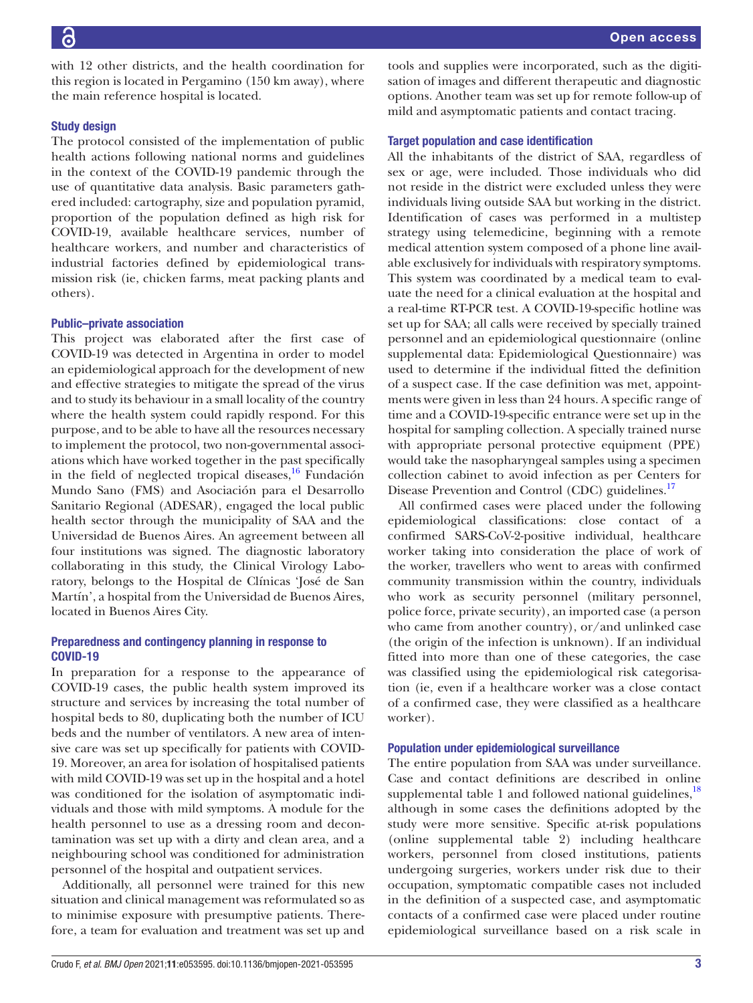with 12 other districts, and the health coordination for this region is located in Pergamino (150 km away), where the main reference hospital is located.

# Study design

The protocol consisted of the implementation of public health actions following national norms and guidelines in the context of the COVID-19 pandemic through the use of quantitative data analysis. Basic parameters gathered included: cartography, size and population pyramid, proportion of the population defined as high risk for COVID-19, available healthcare services, number of healthcare workers, and number and characteristics of industrial factories defined by epidemiological transmission risk (ie, chicken farms, meat packing plants and others).

## Public–private association

This project was elaborated after the first case of COVID-19 was detected in Argentina in order to model an epidemiological approach for the development of new and effective strategies to mitigate the spread of the virus and to study its behaviour in a small locality of the country where the health system could rapidly respond. For this purpose, and to be able to have all the resources necessary to implement the protocol, two non-governmental associations which have worked together in the past specifically in the field of neglected tropical diseases, $^{16}$  Fundación Mundo Sano (FMS) and Asociación para el Desarrollo Sanitario Regional (ADESAR), engaged the local public health sector through the municipality of SAA and the Universidad de Buenos Aires. An agreement between all four institutions was signed. The diagnostic laboratory collaborating in this study, the Clinical Virology Laboratory, belongs to the Hospital de Clínicas 'José de San Martín', a hospital from the Universidad de Buenos Aires, located in Buenos Aires City.

# Preparedness and contingency planning in response to COVID-19

In preparation for a response to the appearance of COVID-19 cases, the public health system improved its structure and services by increasing the total number of hospital beds to 80, duplicating both the number of ICU beds and the number of ventilators. A new area of intensive care was set up specifically for patients with COVID-19. Moreover, an area for isolation of hospitalised patients with mild COVID-19 was set up in the hospital and a hotel was conditioned for the isolation of asymptomatic individuals and those with mild symptoms. A module for the health personnel to use as a dressing room and decontamination was set up with a dirty and clean area, and a neighbouring school was conditioned for administration personnel of the hospital and outpatient services.

Additionally, all personnel were trained for this new situation and clinical management was reformulated so as to minimise exposure with presumptive patients. Therefore, a team for evaluation and treatment was set up and

Crudo F, *et al*. *BMJ Open* 2021;11:e053595. doi:10.1136/bmjopen-2021-053595 3

tools and supplies were incorporated, such as the digitisation of images and different therapeutic and diagnostic options. Another team was set up for remote follow-up of mild and asymptomatic patients and contact tracing.

## Target population and case identification

All the inhabitants of the district of SAA, regardless of sex or age, were included. Those individuals who did not reside in the district were excluded unless they were individuals living outside SAA but working in the district. Identification of cases was performed in a multistep strategy using telemedicine, beginning with a remote medical attention system composed of a phone line available exclusively for individuals with respiratory symptoms. This system was coordinated by a medical team to evaluate the need for a clinical evaluation at the hospital and a real-time RT-PCR test. A COVID-19-specific hotline was set up for SAA; all calls were received by specially trained personnel and an epidemiological questionnaire (online supplemental data: Epidemiological Questionnaire) was used to determine if the individual fitted the definition of a suspect case. If the case definition was met, appointments were given in less than 24 hours. A specific range of time and a COVID-19-specific entrance were set up in the hospital for sampling collection. A specially trained nurse with appropriate personal protective equipment (PPE) would take the nasopharyngeal samples using a specimen collection cabinet to avoid infection as per Centers for Disease Prevention and Control (CDC) guidelines.<sup>17</sup>

All confirmed cases were placed under the following epidemiological classifications: close contact of a confirmed SARS-CoV-2-positive individual, healthcare worker taking into consideration the place of work of the worker, travellers who went to areas with confirmed community transmission within the country, individuals who work as security personnel (military personnel, police force, private security), an imported case (a person who came from another country), or/and unlinked case (the origin of the infection is unknown). If an individual fitted into more than one of these categories, the case was classified using the epidemiological risk categorisation (ie, even if a healthcare worker was a close contact of a confirmed case, they were classified as a healthcare worker).

#### Population under epidemiological surveillance

The entire population from SAA was under surveillance. Case and contact definitions are described in online supplemental table 1 and followed national guidelines, $^{18}$ although in some cases the definitions adopted by the study were more sensitive. Specific at-risk populations (online supplemental table 2) including healthcare workers, personnel from closed institutions, patients undergoing surgeries, workers under risk due to their occupation, symptomatic compatible cases not included in the definition of a suspected case, and asymptomatic contacts of a confirmed case were placed under routine epidemiological surveillance based on a risk scale in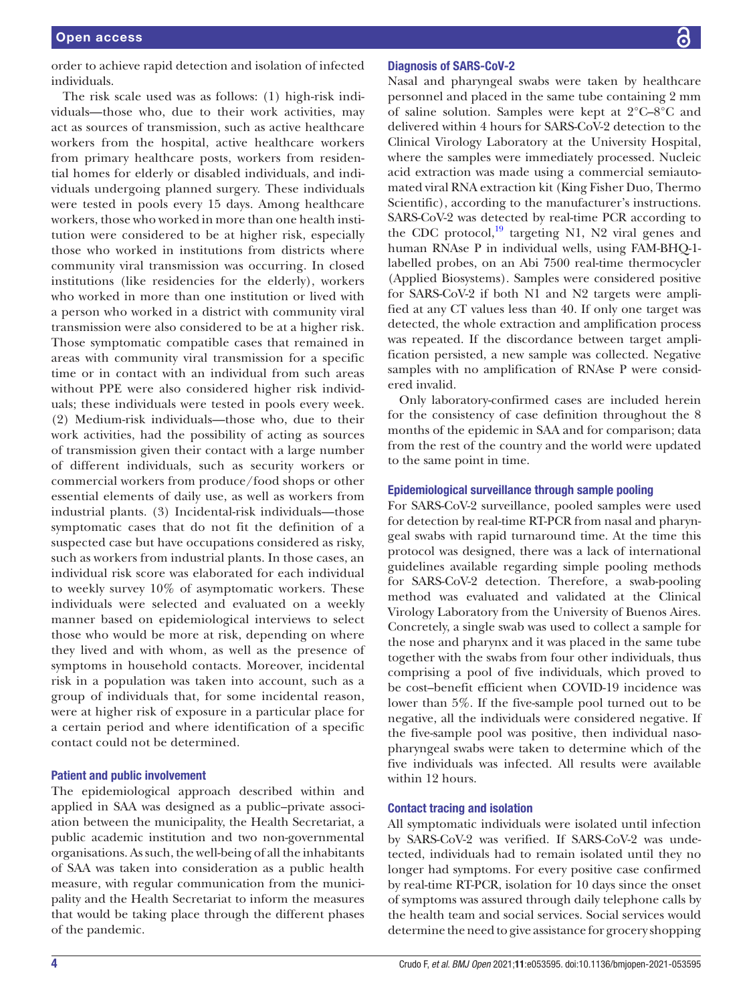order to achieve rapid detection and isolation of infected individuals.

The risk scale used was as follows: (1) high-risk individuals—those who, due to their work activities, may act as sources of transmission, such as active healthcare workers from the hospital, active healthcare workers from primary healthcare posts, workers from residential homes for elderly or disabled individuals, and individuals undergoing planned surgery. These individuals were tested in pools every 15 days. Among healthcare workers, those who worked in more than one health institution were considered to be at higher risk, especially those who worked in institutions from districts where community viral transmission was occurring. In closed institutions (like residencies for the elderly), workers who worked in more than one institution or lived with a person who worked in a district with community viral transmission were also considered to be at a higher risk. Those symptomatic compatible cases that remained in areas with community viral transmission for a specific time or in contact with an individual from such areas without PPE were also considered higher risk individuals; these individuals were tested in pools every week. (2) Medium-risk individuals—those who, due to their work activities, had the possibility of acting as sources of transmission given their contact with a large number of different individuals, such as security workers or commercial workers from produce/food shops or other essential elements of daily use, as well as workers from industrial plants. (3) Incidental-risk individuals—those symptomatic cases that do not fit the definition of a suspected case but have occupations considered as risky, such as workers from industrial plants. In those cases, an individual risk score was elaborated for each individual to weekly survey 10% of asymptomatic workers. These individuals were selected and evaluated on a weekly manner based on epidemiological interviews to select those who would be more at risk, depending on where they lived and with whom, as well as the presence of symptoms in household contacts. Moreover, incidental risk in a population was taken into account, such as a group of individuals that, for some incidental reason, were at higher risk of exposure in a particular place for a certain period and where identification of a specific contact could not be determined.

#### Patient and public involvement

The epidemiological approach described within and applied in SAA was designed as a public–private association between the municipality, the Health Secretariat, a public academic institution and two non-governmental organisations. As such, the well-being of all the inhabitants of SAA was taken into consideration as a public health measure, with regular communication from the municipality and the Health Secretariat to inform the measures that would be taking place through the different phases of the pandemic.

#### Diagnosis of SARS-CoV-2

Nasal and pharyngeal swabs were taken by healthcare personnel and placed in the same tube containing 2 mm of saline solution. Samples were kept at 2°C–8°C and delivered within 4 hours for SARS-CoV-2 detection to the Clinical Virology Laboratory at the University Hospital, where the samples were immediately processed. Nucleic acid extraction was made using a commercial semiautomated viral RNA extraction kit (King Fisher Duo, Thermo Scientific), according to the manufacturer's instructions. SARS-CoV-2 was detected by real-time PCR according to the CDC protocol, $^{19}$  targeting N1, N2 viral genes and human RNAse P in individual wells, using FAM-BHQ-1 labelled probes, on an Abi 7500 real-time thermocycler (Applied Biosystems). Samples were considered positive for SARS-CoV-2 if both N1 and N2 targets were amplified at any CT values less than 40. If only one target was detected, the whole extraction and amplification process was repeated. If the discordance between target amplification persisted, a new sample was collected. Negative samples with no amplification of RNAse P were considered invalid.

Only laboratory-confirmed cases are included herein for the consistency of case definition throughout the 8 months of the epidemic in SAA and for comparison; data from the rest of the country and the world were updated to the same point in time.

#### Epidemiological surveillance through sample pooling

For SARS-CoV-2 surveillance, pooled samples were used for detection by real-time RT-PCR from nasal and pharyngeal swabs with rapid turnaround time. At the time this protocol was designed, there was a lack of international guidelines available regarding simple pooling methods for SARS-CoV-2 detection. Therefore, a swab-pooling method was evaluated and validated at the Clinical Virology Laboratory from the University of Buenos Aires. Concretely, a single swab was used to collect a sample for the nose and pharynx and it was placed in the same tube together with the swabs from four other individuals, thus comprising a pool of five individuals, which proved to be cost–benefit efficient when COVID-19 incidence was lower than 5%. If the five-sample pool turned out to be negative, all the individuals were considered negative. If the five-sample pool was positive, then individual nasopharyngeal swabs were taken to determine which of the five individuals was infected. All results were available within 12 hours.

#### Contact tracing and isolation

All symptomatic individuals were isolated until infection by SARS-CoV-2 was verified. If SARS-CoV-2 was undetected, individuals had to remain isolated until they no longer had symptoms. For every positive case confirmed by real-time RT-PCR, isolation for 10 days since the onset of symptoms was assured through daily telephone calls by the health team and social services. Social services would determine the need to give assistance for grocery shopping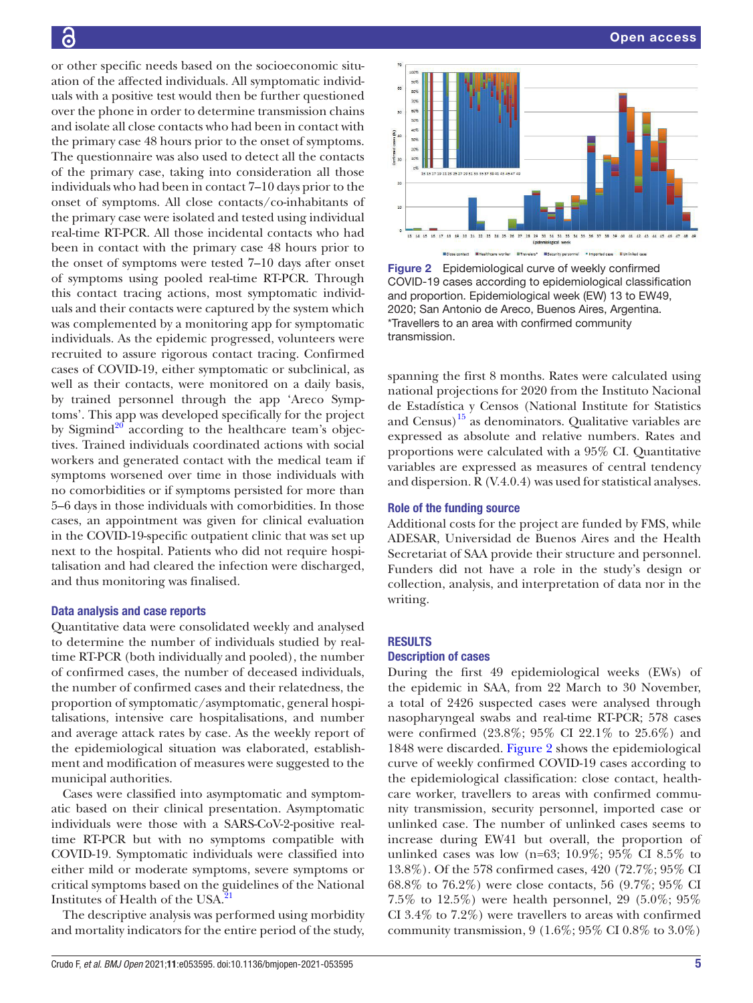or other specific needs based on the socioeconomic situation of the affected individuals. All symptomatic individuals with a positive test would then be further questioned over the phone in order to determine transmission chains and isolate all close contacts who had been in contact with the primary case 48 hours prior to the onset of symptoms. The questionnaire was also used to detect all the contacts of the primary case, taking into consideration all those individuals who had been in contact 7–10 days prior to the onset of symptoms. All close contacts/co-inhabitants of the primary case were isolated and tested using individual real-time RT-PCR. All those incidental contacts who had been in contact with the primary case 48 hours prior to the onset of symptoms were tested 7–10 days after onset of symptoms using pooled real-time RT-PCR. Through this contact tracing actions, most symptomatic individuals and their contacts were captured by the system which was complemented by a monitoring app for symptomatic individuals. As the epidemic progressed, volunteers were recruited to assure rigorous contact tracing. Confirmed cases of COVID-19, either symptomatic or subclinical, as well as their contacts, were monitored on a daily basis, by trained personnel through the app 'Areco Symptoms'. This app was developed specifically for the project by Sigmind<sup>20</sup> according to the healthcare team's objectives. Trained individuals coordinated actions with social workers and generated contact with the medical team if symptoms worsened over time in those individuals with no comorbidities or if symptoms persisted for more than 5–6 days in those individuals with comorbidities. In those cases, an appointment was given for clinical evaluation in the COVID-19-specific outpatient clinic that was set up next to the hospital. Patients who did not require hospitalisation and had cleared the infection were discharged, and thus monitoring was finalised.

## Data analysis and case reports

Quantitative data were consolidated weekly and analysed to determine the number of individuals studied by realtime RT-PCR (both individually and pooled), the number of confirmed cases, the number of deceased individuals, the number of confirmed cases and their relatedness, the proportion of symptomatic/asymptomatic, general hospitalisations, intensive care hospitalisations, and number and average attack rates by case. As the weekly report of the epidemiological situation was elaborated, establishment and modification of measures were suggested to the municipal authorities.

Cases were classified into asymptomatic and symptomatic based on their clinical presentation. Asymptomatic individuals were those with a SARS-CoV-2-positive realtime RT-PCR but with no symptoms compatible with COVID-19. Symptomatic individuals were classified into either mild or moderate symptoms, severe symptoms or critical symptoms based on the guidelines of the National Institutes of Health of the USA.21

The descriptive analysis was performed using morbidity and mortality indicators for the entire period of the study,



Figure 2 Epidemiological curve of weekly confirmed COVID-19 cases according to epidemiological classification and proportion. Epidemiological week (EW) 13 to EW49, 2020; San Antonio de Areco, Buenos Aires, Argentina. \*Travellers to an area with confirmed community transmission.

spanning the first 8 months. Rates were calculated using national projections for 2020 from the Instituto Nacional de Estadística y Censos (National Institute for Statistics and Census) $15$  as denominators. Qualitative variables are expressed as absolute and relative numbers. Rates and proportions were calculated with a 95% CI. Quantitative variables are expressed as measures of central tendency and dispersion. R (V.4.0.4) was used for statistical analyses.

### Role of the funding source

Additional costs for the project are funded by FMS, while ADESAR, Universidad de Buenos Aires and the Health Secretariat of SAA provide their structure and personnel. Funders did not have a role in the study's design or collection, analysis, and interpretation of data nor in the writing.

#### RESULTS

## Description of cases

During the first 49 epidemiological weeks (EWs) of the epidemic in SAA, from 22 March to 30 November, a total of 2426 suspected cases were analysed through nasopharyngeal swabs and real-time RT-PCR; 578 cases were confirmed (23.8%; 95% CI 22.1% to 25.6%) and 1848 were discarded. Figure 2 shows the epidemiological curve of weekly confirmed COVID-19 cases according to the epidemiological classification: close contact, healthcare worker, travellers to areas with confirmed community transmission, security personnel, imported case or unlinked case. The number of unlinked cases seems to increase during EW41 but overall, the proportion of unlinked cases was low (n=63; 10.9%; 95% CI 8.5% to 13.8%). Of the 578 confirmed cases, 420 (72.7%; 95% CI 68.8% to 76.2%) were close contacts, 56 (9.7%; 95% CI 7.5% to 12.5%) were health personnel, 29 (5.0%; 95% CI 3.4% to 7.2%) were travellers to areas with confirmed community transmission, 9 (1.6%; 95% CI 0.8% to 3.0%)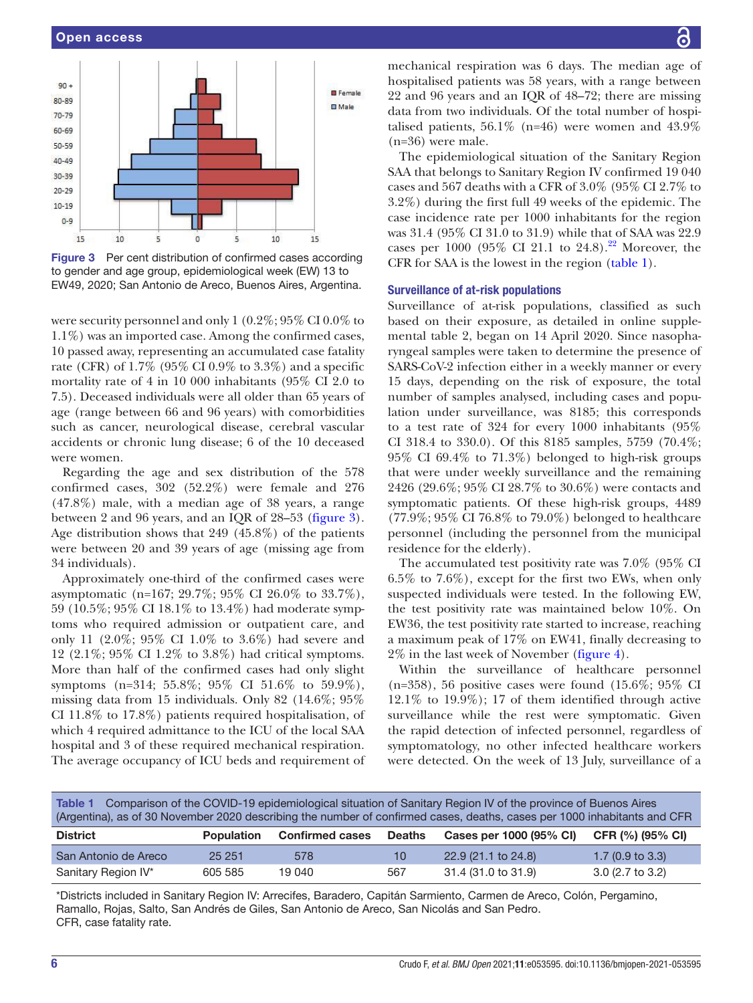

Figure 3 Per cent distribution of confirmed cases according to gender and age group, epidemiological week (EW) 13 to EW49, 2020; San Antonio de Areco, Buenos Aires, Argentina.

were security personnel and only 1 (0.2%; 95% CI 0.0% to 1.1%) was an imported case. Among the confirmed cases, 10 passed away, representing an accumulated case fatality rate (CFR) of 1.7% (95% CI 0.9% to 3.3%) and a specific mortality rate of 4 in 10 000 inhabitants (95% CI 2.0 to 7.5). Deceased individuals were all older than 65 years of age (range between 66 and 96 years) with comorbidities such as cancer, neurological disease, cerebral vascular accidents or chronic lung disease; 6 of the 10 deceased were women.

Regarding the age and sex distribution of the 578 confirmed cases, 302 (52.2%) were female and 276 (47.8%) male, with a median age of 38 years, a range between 2 and 96 years, and an IQR of 28–53 (figure 3). Age distribution shows that 249 (45.8%) of the patients were between 20 and 39 years of age (missing age from 34 individuals).

Approximately one-third of the confirmed cases were asymptomatic (n=167; 29.7%; 95% CI 26.0% to 33.7%), 59 (10.5%; 95% CI 18.1% to 13.4%) had moderate symptoms who required admission or outpatient care, and only 11 (2.0%; 95% CI 1.0% to 3.6%) had severe and 12 (2.1%; 95% CI 1.2% to 3.8%) had critical symptoms. More than half of the confirmed cases had only slight symptoms (n=314; 55.8%; 95% CI 51.6% to 59.9%), missing data from 15 individuals. Only 82 (14.6%; 95% CI 11.8% to 17.8%) patients required hospitalisation, of which 4 required admittance to the ICU of the local SAA hospital and 3 of these required mechanical respiration. The average occupancy of ICU beds and requirement of mechanical respiration was 6 days. The median age of hospitalised patients was 58 years, with a range between 22 and 96 years and an IQR of 48–72; there are missing data from two individuals. Of the total number of hospitalised patients,  $56.1\%$  (n=46) were women and  $43.9\%$ (n=36) were male.

The epidemiological situation of the Sanitary Region SAA that belongs to Sanitary Region IV confirmed 19 040 cases and 567 deaths with a CFR of 3.0% (95% CI 2.7% to 3.2%) during the first full 49 weeks of the epidemic. The case incidence rate per 1000 inhabitants for the region was 31.4 (95% CI 31.0 to 31.9) while that of SAA was 22.9 cases per 1000 (95% CI 21.1 to 24.8).<sup>22</sup> Moreover, the CFR for SAA is the lowest in the region (table 1).

## Surveillance of at-risk populations

Surveillance of at-risk populations, classified as such based on their exposure, as detailed in online supplemental table 2, began on 14 April 2020. Since nasopharyngeal samples were taken to determine the presence of SARS-CoV-2 infection either in a weekly manner or every 15 days, depending on the risk of exposure, the total number of samples analysed, including cases and population under surveillance, was 8185; this corresponds to a test rate of 324 for every 1000 inhabitants (95% CI 318.4 to 330.0). Of this 8185 samples, 5759 (70.4%; 95% CI 69.4% to 71.3%) belonged to high-risk groups that were under weekly surveillance and the remaining 2426 (29.6%; 95% CI 28.7% to 30.6%) were contacts and symptomatic patients. Of these high-risk groups, 4489 (77.9%; 95% CI 76.8% to 79.0%) belonged to healthcare personnel (including the personnel from the municipal residence for the elderly).

The accumulated test positivity rate was 7.0% (95% CI 6.5% to 7.6%), except for the first two EWs, when only suspected individuals were tested. In the following EW, the test positivity rate was maintained below 10%. On EW36, the test positivity rate started to increase, reaching a maximum peak of 17% on EW41, finally decreasing to 2% in the last week of November (figure 4).

Within the surveillance of healthcare personnel  $(n=358)$ , 56 positive cases were found  $(15.6\%; 95\% \text{ CI})$ 12.1% to 19.9%); 17 of them identified through active surveillance while the rest were symptomatic. Given the rapid detection of infected personnel, regardless of symptomatology, no other infected healthcare workers were detected. On the week of 13 July, surveillance of a

| Table 1 Comparison of the COVID-19 epidemiological situation of Sanitary Region IV of the province of Buenos Aires       |
|--------------------------------------------------------------------------------------------------------------------------|
| (Argentina), as of 30 November 2020 describing the number of confirmed cases, deaths, cases per 1000 inhabitants and CFR |

| <b>District</b>      | <b>Population</b> | <b>Confirmed cases</b> | <b>Deaths</b> | Cases per 1000 (95% CI) | CFR (%) (95% CI)           |
|----------------------|-------------------|------------------------|---------------|-------------------------|----------------------------|
| San Antonio de Areco | 25 25 1           | 578                    | 10            | 22.9 (21.1 to 24.8)     | $1.7(0.9 \text{ to } 3.3)$ |
| Sanitary Region IV*  | 605 585           | 19 040                 | 567           | 31.4 (31.0 to 31.9)     | $3.0(2.7)$ to $3.2)$       |

\*Districts included in Sanitary Region IV: Arrecifes, Baradero, Capitán Sarmiento, Carmen de Areco, Colón, Pergamino, Ramallo, Rojas, Salto, San Andrés de Giles, San Antonio de Areco, San Nicolás and San Pedro. CFR, case fatality rate.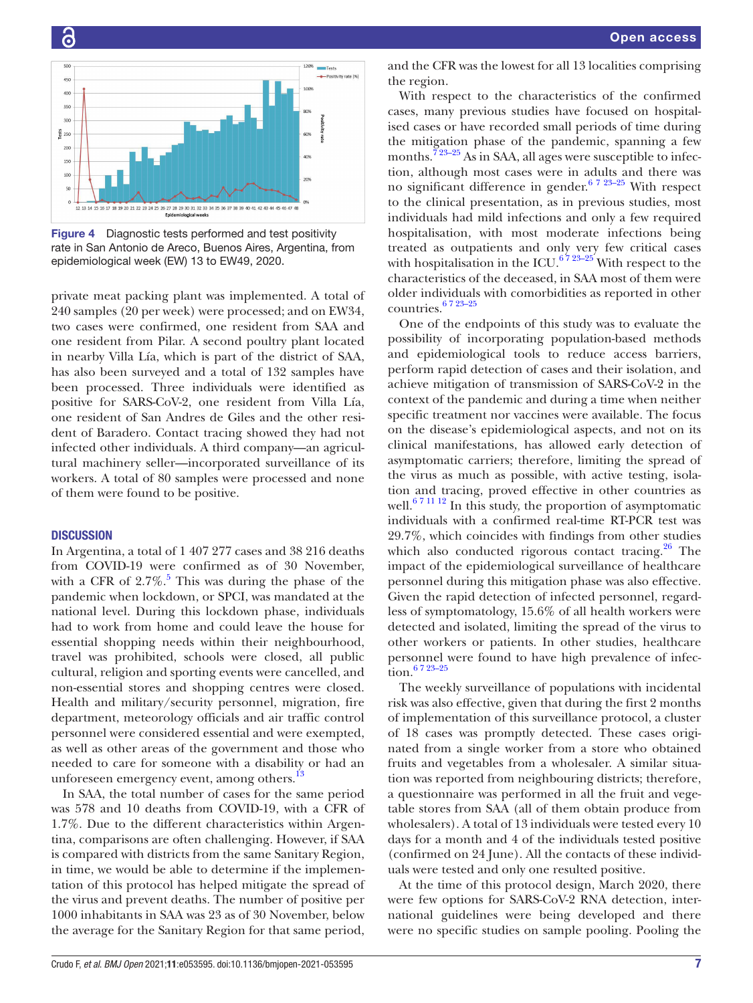

Figure 4 Diagnostic tests performed and test positivity rate in San Antonio de Areco, Buenos Aires, Argentina, from epidemiological week (EW) 13 to EW49, 2020.

private meat packing plant was implemented. A total of 240 samples (20 per week) were processed; and on EW34, two cases were confirmed, one resident from SAA and one resident from Pilar. A second poultry plant located in nearby Villa Lía, which is part of the district of SAA, has also been surveyed and a total of 132 samples have been processed. Three individuals were identified as positive for SARS-CoV-2, one resident from Villa Lía, one resident of San Andres de Giles and the other resident of Baradero. Contact tracing showed they had not infected other individuals. A third company—an agricultural machinery seller—incorporated surveillance of its workers. A total of 80 samples were processed and none of them were found to be positive.

## **DISCUSSION**

In Argentina, a total of 1 407 277 cases and 38 216 deaths from COVID-19 were confirmed as of 30 November, with a CFR of  $2.7\%$ .<sup>5</sup> This was during the phase of the pandemic when lockdown, or SPCI, was mandated at the national level. During this lockdown phase, individuals had to work from home and could leave the house for essential shopping needs within their neighbourhood, travel was prohibited, schools were closed, all public cultural, religion and sporting events were cancelled, and non-essential stores and shopping centres were closed. Health and military/security personnel, migration, fire department, meteorology officials and air traffic control personnel were considered essential and were exempted, as well as other areas of the government and those who needed to care for someone with a disability or had an unforeseen emergency event, among others.<sup>13</sup>

In SAA, the total number of cases for the same period was 578 and 10 deaths from COVID-19, with a CFR of 1.7%. Due to the different characteristics within Argentina, comparisons are often challenging. However, if SAA is compared with districts from the same Sanitary Region, in time, we would be able to determine if the implementation of this protocol has helped mitigate the spread of the virus and prevent deaths. The number of positive per 1000 inhabitants in SAA was 23 as of 30 November, below the average for the Sanitary Region for that same period,

and the CFR was the lowest for all 13 localities comprising the region.

With respect to the characteristics of the confirmed cases, many previous studies have focused on hospitalised cases or have recorded small periods of time during the mitigation phase of the pandemic, spanning a few months.<sup>723–25</sup> As in SAA, all ages were susceptible to infection, although most cases were in adults and there was no significant difference in gender.<sup>6 7 23–25</sup> With respect to the clinical presentation, as in previous studies, most individuals had mild infections and only a few required hospitalisation, with most moderate infections being treated as outpatients and only very few critical cases with hospitalisation in the ICU.<sup>6723–25</sup> With respect to the characteristics of the deceased, in SAA most of them were older individuals with comorbidities as reported in other countries.6 7 23–25

One of the endpoints of this study was to evaluate the possibility of incorporating population-based methods and epidemiological tools to reduce access barriers, perform rapid detection of cases and their isolation, and achieve mitigation of transmission of SARS-CoV-2 in the context of the pandemic and during a time when neither specific treatment nor vaccines were available. The focus on the disease's epidemiological aspects, and not on its clinical manifestations, has allowed early detection of asymptomatic carriers; therefore, limiting the spread of the virus as much as possible, with active testing, isolation and tracing, proved effective in other countries as well. $671112$  In this study, the proportion of asymptomatic individuals with a confirmed real-time RT-PCR test was 29.7%, which coincides with findings from other studies which also conducted rigorous contact tracing. $26$  The impact of the epidemiological surveillance of healthcare personnel during this mitigation phase was also effective. Given the rapid detection of infected personnel, regardless of symptomatology, 15.6% of all health workers were detected and isolated, limiting the spread of the virus to other workers or patients. In other studies, healthcare personnel were found to have high prevalence of infection.6 7 23–25

The weekly surveillance of populations with incidental risk was also effective, given that during the first 2 months of implementation of this surveillance protocol, a cluster of 18 cases was promptly detected. These cases originated from a single worker from a store who obtained fruits and vegetables from a wholesaler. A similar situation was reported from neighbouring districts; therefore, a questionnaire was performed in all the fruit and vegetable stores from SAA (all of them obtain produce from wholesalers). A total of 13 individuals were tested every 10 days for a month and 4 of the individuals tested positive (confirmed on 24 June). All the contacts of these individuals were tested and only one resulted positive.

At the time of this protocol design, March 2020, there were few options for SARS-CoV-2 RNA detection, international guidelines were being developed and there were no specific studies on sample pooling. Pooling the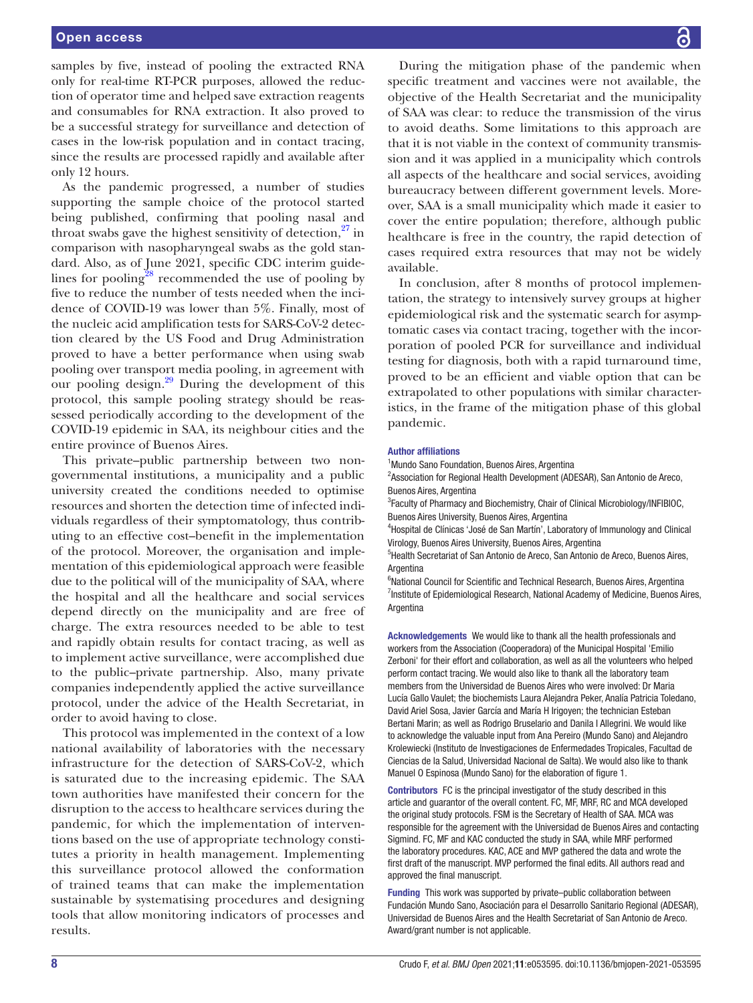samples by five, instead of pooling the extracted RNA only for real-time RT-PCR purposes, allowed the reduction of operator time and helped save extraction reagents and consumables for RNA extraction. It also proved to be a successful strategy for surveillance and detection of cases in the low-risk population and in contact tracing, since the results are processed rapidly and available after only 12 hours.

As the pandemic progressed, a number of studies supporting the sample choice of the protocol started being published, confirming that pooling nasal and throat swabs gave the highest sensitivity of detection, $27$  in comparison with nasopharyngeal swabs as the gold standard. Also, as of June 2021, specific CDC interim guidelines for pooling $28$  recommended the use of pooling by five to reduce the number of tests needed when the incidence of COVID-19 was lower than 5%. Finally, most of the nucleic acid amplification tests for SARS-CoV-2 detection cleared by the US Food and Drug Administration proved to have a better performance when using swab pooling over transport media pooling, in agreement with our pooling design.<sup>29</sup> During the development of this protocol, this sample pooling strategy should be reassessed periodically according to the development of the COVID-19 epidemic in SAA, its neighbour cities and the entire province of Buenos Aires.

This private–public partnership between two nongovernmental institutions, a municipality and a public university created the conditions needed to optimise resources and shorten the detection time of infected individuals regardless of their symptomatology, thus contributing to an effective cost–benefit in the implementation of the protocol. Moreover, the organisation and implementation of this epidemiological approach were feasible due to the political will of the municipality of SAA, where the hospital and all the healthcare and social services depend directly on the municipality and are free of charge. The extra resources needed to be able to test and rapidly obtain results for contact tracing, as well as to implement active surveillance, were accomplished due to the public–private partnership. Also, many private companies independently applied the active surveillance protocol, under the advice of the Health Secretariat, in order to avoid having to close.

This protocol was implemented in the context of a low national availability of laboratories with the necessary infrastructure for the detection of SARS-CoV-2, which is saturated due to the increasing epidemic. The SAA town authorities have manifested their concern for the disruption to the access to healthcare services during the pandemic, for which the implementation of interventions based on the use of appropriate technology constitutes a priority in health management. Implementing this surveillance protocol allowed the conformation of trained teams that can make the implementation sustainable by systematising procedures and designing tools that allow monitoring indicators of processes and results.

During the mitigation phase of the pandemic when specific treatment and vaccines were not available, the objective of the Health Secretariat and the municipality of SAA was clear: to reduce the transmission of the virus to avoid deaths. Some limitations to this approach are that it is not viable in the context of community transmission and it was applied in a municipality which controls all aspects of the healthcare and social services, avoiding bureaucracy between different government levels. Moreover, SAA is a small municipality which made it easier to cover the entire population; therefore, although public healthcare is free in the country, the rapid detection of cases required extra resources that may not be widely available.

In conclusion, after 8 months of protocol implementation, the strategy to intensively survey groups at higher epidemiological risk and the systematic search for asymptomatic cases via contact tracing, together with the incorporation of pooled PCR for surveillance and individual testing for diagnosis, both with a rapid turnaround time, proved to be an efficient and viable option that can be extrapolated to other populations with similar characteristics, in the frame of the mitigation phase of this global pandemic.

#### Author affiliations

<sup>1</sup> Mundo Sano Foundation, Buenos Aires, Argentina <sup>2</sup> Association for Regional Health Development (ADESAR), San Antonio de Areco, Buenos Aires, Argentina <sup>3</sup> Faculty of Pharmacy and Biochemistry, Chair of Clinical Microbiology/INFIBIOC,

Buenos Aires University, Buenos Aires, Argentina

<sup>4</sup>Hospital de Clínicas 'José de San Martín', Laboratory of Immunology and Clinical Virology, Buenos Aires University, Buenos Aires, Argentina

<sup>5</sup> Health Secretariat of San Antonio de Areco, San Antonio de Areco, Buenos Aires, Argentina

<sup>6</sup>National Council for Scientific and Technical Research, Buenos Aires, Argentina <sup>7</sup>Institute of Epidemiological Research, National Academy of Medicine, Buenos Aires, Argentina

Acknowledgements We would like to thank all the health professionals and workers from the Association (Cooperadora) of the Municipal Hospital 'Emilio Zerboni' for their effort and collaboration, as well as all the volunteers who helped perform contact tracing. We would also like to thank all the laboratory team members from the Universidad de Buenos Aires who were involved: Dr Maria Lucía Gallo Vaulet; the biochemists Laura Alejandra Peker, Analía Patricia Toledano, David Ariel Sosa, Javier García and María H Irigoyen; the technician Esteban Bertani Marin; as well as Rodrigo Bruselario and Danila I Allegrini. We would like to acknowledge the valuable input from Ana Pereiro (Mundo Sano) and Alejandro Krolewiecki (Instituto de Investigaciones de Enfermedades Tropicales, Facultad de Ciencias de la Salud, Universidad Nacional de Salta). We would also like to thank Manuel O Espinosa (Mundo Sano) for the elaboration of figure 1.

Contributors FC is the principal investigator of the study described in this article and guarantor of the overall content. FC, MF, MRF, RC and MCA developed the original study protocols. FSM is the Secretary of Health of SAA. MCA was responsible for the agreement with the Universidad de Buenos Aires and contacting Sigmind. FC, MF and KAC conducted the study in SAA, while MRF performed the laboratory procedures. KAC, ACE and MVP gathered the data and wrote the first draft of the manuscript. MVP performed the final edits. All authors read and approved the final manuscript.

Funding This work was supported by private–public collaboration between Fundación Mundo Sano, Asociación para el Desarrollo Sanitario Regional (ADESAR), Universidad de Buenos Aires and the Health Secretariat of San Antonio de Areco. Award/grant number is not applicable.